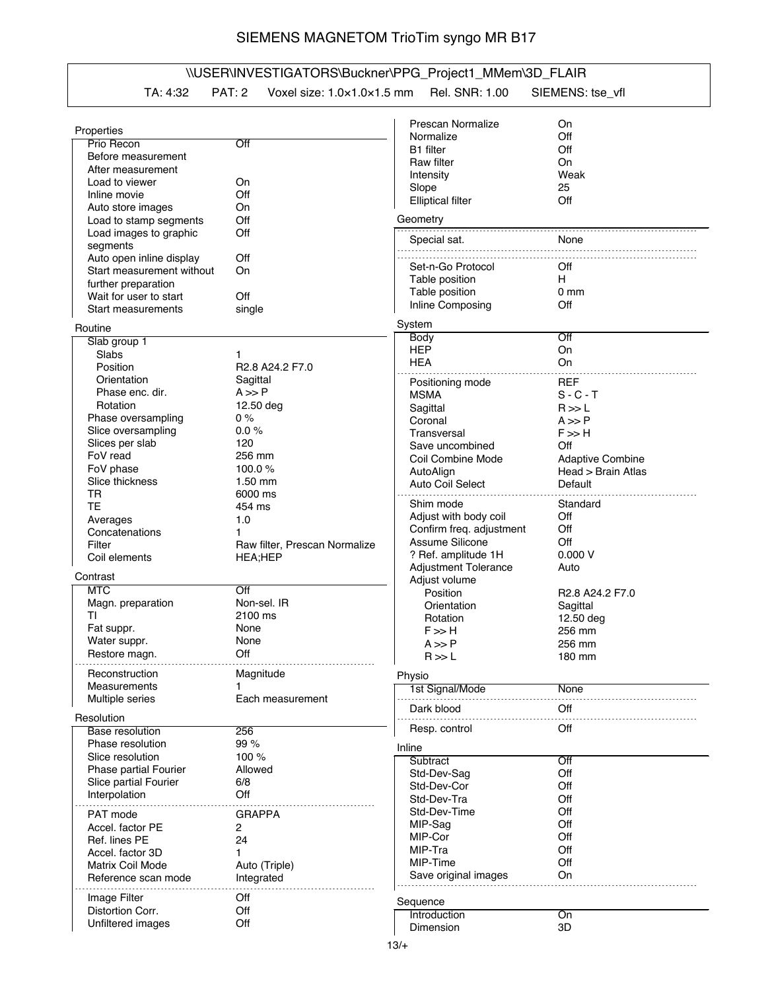## SIEMENS MAGNETOM TrioTim syngo MR B17

## \\USER\INVESTIGATORS\Buckner\PPG\_Project1\_MMem\3D\_FLAIR

TA: 4:32 PAT: 2 Voxel size: 1.0×1.0×1.5 mm Rel. SNR: 1.00 SIEMENS: tse\_vfl

| Properties                                    |                               | Prescan Normalize           | On                                                  |
|-----------------------------------------------|-------------------------------|-----------------------------|-----------------------------------------------------|
| Prio Recon                                    | Off                           | Normalize                   | Off                                                 |
| Before measurement                            |                               | <b>B1</b> filter            | Off                                                 |
| After measurement                             |                               | Raw filter                  | On                                                  |
| Load to viewer                                | On                            | Intensity                   | Weak                                                |
| Inline movie                                  | Off                           | Slope                       | 25                                                  |
| Auto store images                             | On                            | <b>Elliptical filter</b>    | Off                                                 |
| Load to stamp segments                        | Off                           | Geometry                    |                                                     |
| Load images to graphic                        | Off                           |                             |                                                     |
| segments                                      |                               | Special sat.                | None                                                |
| Auto open inline display                      | Off                           |                             |                                                     |
| Start measurement without                     | On                            | Set-n-Go Protocol           | Off                                                 |
|                                               |                               | Table position              | H                                                   |
| further preparation<br>Wait for user to start | Off                           | Table position              | 0 <sub>mm</sub>                                     |
|                                               |                               | Inline Composing            | Off                                                 |
| Start measurements                            | single                        |                             |                                                     |
| Routine                                       |                               | System                      |                                                     |
| Slab group 1                                  |                               | Body                        | Off                                                 |
| Slabs                                         | 1                             | <b>HEP</b>                  | On                                                  |
| Position                                      | R2.8 A24.2 F7.0               | <b>HEA</b>                  | On                                                  |
| Orientation                                   | Sagittal                      | Positioning mode            | <b>REF</b>                                          |
| Phase enc. dir.                               | $A \gg P$                     | <b>MSMA</b>                 | $S - C - T$                                         |
| Rotation                                      | 12.50 deg                     | Sagittal                    | R >> L                                              |
| Phase oversampling                            | $0\%$                         | Coronal                     | $A \gg P$                                           |
| Slice oversampling                            | 0.0%                          | Transversal                 | $F \gg H$                                           |
| Slices per slab                               | 120                           | Save uncombined             | Off                                                 |
| FoV read                                      | 256 mm                        | Coil Combine Mode           | <b>Adaptive Combine</b>                             |
| FoV phase                                     | 100.0 $%$                     | AutoAlign                   | Head > Brain Atlas                                  |
| Slice thickness                               | $1.50$ mm                     | Auto Coil Select            | Default                                             |
| TR                                            | 6000 ms                       |                             |                                                     |
| TE                                            | 454 ms                        | Shim mode                   | Standard                                            |
| Averages                                      | 1.0                           | Adjust with body coil       | Off                                                 |
| Concatenations                                | 1                             | Confirm freq. adjustment    | Off                                                 |
| Filter                                        | Raw filter, Prescan Normalize | Assume Silicone             | Off                                                 |
| Coil elements                                 |                               | ? Ref. amplitude 1H         | 0.000V                                              |
|                                               | HEA;HEP                       | <b>Adjustment Tolerance</b> | Auto                                                |
| Contrast                                      |                               | Adjust volume               |                                                     |
| <b>MTC</b>                                    | $\overline{\rm Off}$          | Position                    | R <sub>2.8</sub> A <sub>24.2</sub> F <sub>7.0</sub> |
| Magn. preparation                             | Non-sel. IR                   | Orientation                 | Sagittal                                            |
| ΤI                                            | 2100 ms                       | Rotation                    | 12.50 deg                                           |
| Fat suppr.                                    | None                          | F >> H                      | 256 mm                                              |
| Water suppr.                                  | None                          | $A \gg P$                   | 256 mm                                              |
| Restore magn.                                 | Off                           | R >> L                      | 180 mm                                              |
|                                               |                               |                             |                                                     |
| Reconstruction                                | Magnitude                     | Physio                      |                                                     |
| Measurements                                  |                               | 1st Signal/Mode             | None                                                |
| Multiple series                               | Each measurement              |                             |                                                     |
| Resolution                                    |                               | Dark blood                  | Off                                                 |
| <b>Base resolution</b>                        | 256                           | Resp. control               | Off                                                 |
| Phase resolution                              | 99 %                          |                             |                                                     |
| Slice resolution                              | 100 %                         | Inline                      |                                                     |
| <b>Phase partial Fourier</b>                  | Allowed                       | Subtract                    | Off                                                 |
| Slice partial Fourier                         | 6/8                           | Std-Dev-Sag                 | Off                                                 |
|                                               | Off                           | Std-Dev-Cor                 | Off                                                 |
| Interpolation                                 |                               | Std-Dev-Tra                 | Off                                                 |
| PAT mode                                      | <b>GRAPPA</b>                 | Std-Dev-Time                | Off                                                 |
| Accel. factor PE                              | 2                             | MIP-Sag                     | Off                                                 |
| Ref. lines PE                                 | 24                            | MIP-Cor                     | Off                                                 |
| Accel. factor 3D                              | 1                             | MIP-Tra                     | Off                                                 |
| Matrix Coil Mode                              | Auto (Triple)                 | MIP-Time                    | Off                                                 |
| Reference scan mode                           | Integrated                    | Save original images        | On                                                  |
|                                               |                               |                             |                                                     |
| Image Filter                                  | Off                           | Sequence                    |                                                     |
| Distortion Corr.                              | Off                           | Introduction                | On                                                  |
| Unfiltered images                             | Off                           | Dimension                   | 3D                                                  |
|                                               |                               |                             |                                                     |